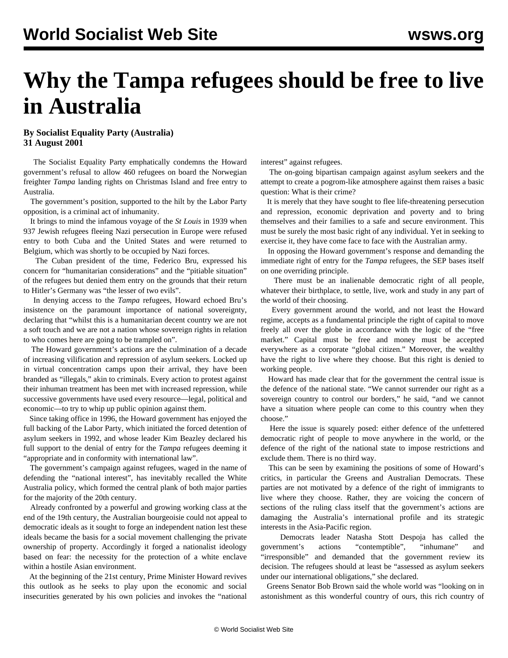## **Why the Tampa refugees should be free to live in Australia**

## **By Socialist Equality Party (Australia) 31 August 2001**

 The Socialist Equality Party emphatically condemns the Howard government's refusal to allow 460 refugees on board the Norwegian freighter *Tampa* landing rights on Christmas Island and free entry to Australia.

 The government's position, supported to the hilt by the Labor Party opposition, is a criminal act of inhumanity.

 It brings to mind the infamous voyage of the *St Louis* in 1939 when 937 Jewish refugees fleeing Nazi persecution in Europe were refused entry to both Cuba and the United States and were returned to Belgium, which was shortly to be occupied by Nazi forces.

 The Cuban president of the time, Federico Bru, expressed his concern for "humanitarian considerations" and the "pitiable situation" of the refugees but denied them entry on the grounds that their return to Hitler's Germany was "the lesser of two evils".

 In denying access to the *Tampa* refugees, Howard echoed Bru's insistence on the paramount importance of national sovereignty, declaring that "whilst this is a humanitarian decent country we are not a soft touch and we are not a nation whose sovereign rights in relation to who comes here are going to be trampled on".

 The Howard government's actions are the culmination of a decade of increasing vilification and repression of asylum seekers. Locked up in virtual concentration camps upon their arrival, they have been branded as "illegals," akin to criminals. Every action to protest against their inhuman treatment has been met with increased repression, while successive governments have used every resource—legal, political and economic—to try to whip up public opinion against them.

 Since taking office in 1996, the Howard government has enjoyed the full backing of the Labor Party, which initiated the forced detention of asylum seekers in 1992, and whose leader Kim Beazley declared his full support to the denial of entry for the *Tampa* refugees deeming it "appropriate and in conformity with international law".

 The government's campaign against refugees, waged in the name of defending the "national interest", has inevitably recalled the White Australia policy, which formed the central plank of both major parties for the majority of the 20th century.

 Already confronted by a powerful and growing working class at the end of the 19th century, the Australian bourgeoisie could not appeal to democratic ideals as it sought to forge an independent nation lest these ideals became the basis for a social movement challenging the private ownership of property. Accordingly it forged a nationalist ideology based on fear: the necessity for the protection of a white enclave within a hostile Asian environment.

 At the beginning of the 21st century, Prime Minister Howard revives this outlook as he seeks to play upon the economic and social insecurities generated by his own policies and invokes the "national interest" against refugees.

 The on-going bipartisan campaign against asylum seekers and the attempt to create a pogrom-like atmosphere against them raises a basic question: What is their crime?

 It is merely that they have sought to flee life-threatening persecution and repression, economic deprivation and poverty and to bring themselves and their families to a safe and secure environment. This must be surely the most basic right of any individual. Yet in seeking to exercise it, they have come face to face with the Australian army.

 In opposing the Howard government's response and demanding the immediate right of entry for the *Tampa* refugees, the SEP bases itself on one overriding principle.

 There must be an inalienable democratic right of all people, whatever their birthplace, to settle, live, work and study in any part of the world of their choosing.

 Every government around the world, and not least the Howard regime, accepts as a fundamental principle the right of capital to move freely all over the globe in accordance with the logic of the "free market." Capital must be free and money must be accepted everywhere as a corporate "global citizen." Moreover, the wealthy have the right to live where they choose. But this right is denied to working people.

 Howard has made clear that for the government the central issue is the defence of the national state. "We cannot surrender our right as a sovereign country to control our borders," he said, "and we cannot have a situation where people can come to this country when they choose."

 Here the issue is squarely posed: either defence of the unfettered democratic right of people to move anywhere in the world, or the defence of the right of the national state to impose restrictions and exclude them. There is no third way.

 This can be seen by examining the positions of some of Howard's critics, in particular the Greens and Australian Democrats. These parties are not motivated by a defence of the right of immigrants to live where they choose. Rather, they are voicing the concern of sections of the ruling class itself that the government's actions are damaging the Australia's international profile and its strategic interests in the Asia-Pacific region.

 Democrats leader Natasha Stott Despoja has called the government's actions "contemptible", "inhumane" and "irresponsible" and demanded that the government review its decision. The refugees should at least be "assessed as asylum seekers under our international obligations," she declared.

 Greens Senator Bob Brown said the whole world was "looking on in astonishment as this wonderful country of ours, this rich country of